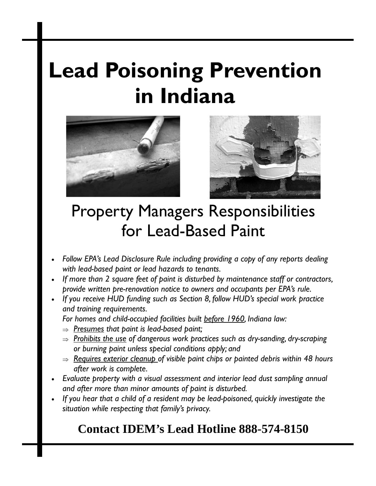# **Lead Poisoning Prevention in Indiana**





## Property Managers Responsibilities for Lead-Based Paint

- *Follow EPA's Lead Disclosure Rule including providing a copy of any reports dealing with lead-based paint or lead hazards to tenants.*
- *If more than 2 square feet of paint is disturbed by maintenance staff or contractors, provide written pre-renovation notice to owners and occupants per EPA's rule.*
- *If you receive HUD funding such as Section 8, follow HUD's special work practice and training requirements.*

*For homes and child-occupied facilities built before 1960, Indiana law:* 

- ⇒ *Presumes that paint is lead-based paint;*
- ⇒ *Prohibits the use of dangerous work practices such as dry-sanding, dry-scraping or burning paint unless special conditions apply; and*
- ⇒ *Requires exterior cleanup of visible paint chips or painted debris within 48 hours after work is complete.*
- *Evaluate property with a visual assessment and interior lead dust sampling annual and after more than minor amounts of paint is disturbed.*
- *If you hear that a child of a resident may be lead-poisoned, quickly investigate the situation while respecting that family's privacy.*

## **Contact IDEM's Lead Hotline 888-574-8150**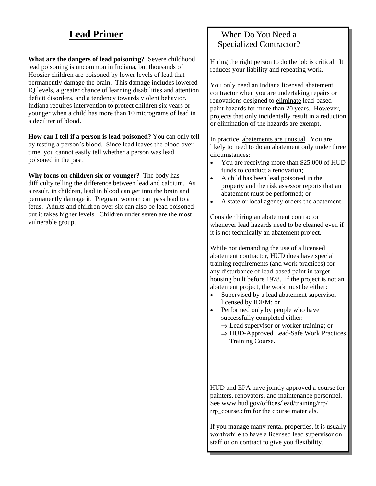## **Lead Primer**

**What are the dangers of lead poisoning?** Severe childhood lead poisoning is uncommon in Indiana, but thousands of Hoosier children are poisoned by lower levels of lead that permanently damage the brain. This damage includes lowered IQ levels, a greater chance of learning disabilities and attention deficit disorders, and a tendency towards violent behavior. Indiana requires intervention to protect children six years or younger when a child has more than 10 micrograms of lead in a deciliter of blood.

**How can I tell if a person is lead poisoned?** You can only tell by testing a person's blood. Since lead leaves the blood over time, you cannot easily tell whether a person was lead poisoned in the past.

**Why focus on children six or younger?** The body has difficulty telling the difference between lead and calcium. As a result, in children, lead in blood can get into the brain and permanently damage it. Pregnant woman can pass lead to a fetus. Adults and children over six can also be lead poisoned but it takes higher levels. Children under seven are the most vulnerable group.

## When Do You Need a Specialized Contractor?

Hiring the right person to do the job is critical. It reduces your liability and repeating work.

You only need an Indiana licensed abatement contractor when you are undertaking repairs or renovations designed to eliminate lead-based paint hazards for more than 20 years. However, projects that only incidentally result in a reduction or elimination of the hazards are exempt.

In practice, abatements are unusual. You are likely to need to do an abatement only under three circumstances:

- You are receiving more than \$25,000 of HUD funds to conduct a renovation;
- A child has been lead poisoned in the property and the risk assessor reports that an abatement must be performed; or
- A state or local agency orders the abatement.

Consider hiring an abatement contractor whenever lead hazards need to be cleaned even if it is not technically an abatement project.

While not demanding the use of a licensed abatement contractor, HUD does have special training requirements (and work practices) for any disturbance of lead-based paint in target housing built before 1978. If the project is not an abatement project, the work must be either:

- Supervised by a lead abatement supervisor licensed by IDEM; or
- Performed only by people who have successfully completed either:
	- $\Rightarrow$  Lead supervisor or worker training; or
	- ⇒ HUD-Approved Lead-Safe Work Practices Training Course.

HUD and EPA have jointly approved a course for painters, renovators, and maintenance personnel. See www.hud.gov/offices/lead/training/rrp/ rrp\_course.cfm for the course materials.

If you manage many rental properties, it is usually worthwhile to have a licensed lead supervisor on staff or on contract to give you flexibility.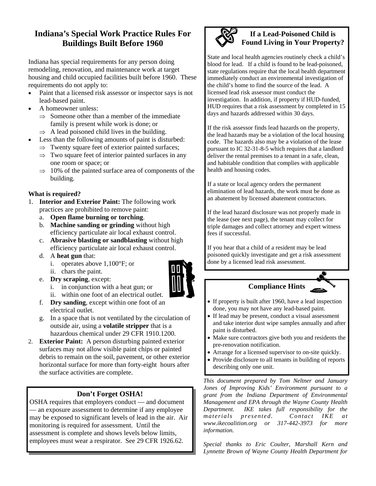## **Indiana's Special Work Practice Rules For Buildings Built Before 1960**

Indiana has special requirements for any person doing remodeling, renovation, and maintenance work at target housing and child occupied facilities built before 1960. These requirements do not apply to:

- Paint that a licensed risk assessor or inspector says is not lead-based paint.
- A homeowner unless:
	- $\Rightarrow$  Someone other than a member of the immediate family is present while work is done; or
	- $\Rightarrow$  A lead poisoned child lives in the building.
- Less than the following amounts of paint is disturbed:
	- $\Rightarrow$  Twenty square feet of exterior painted surfaces;
	- $\Rightarrow$  Two square feet of interior painted surfaces in any one room or space; or
	- $\Rightarrow$  10% of the painted surface area of components of the building.

## **What is required?**

- 1. **Interior and Exterior Paint:** The following work practices are prohibited to remove paint:
	- a. **Open flame burning or torching**.
	- b. **Machine sanding or grinding** without high efficiency particulate air local exhaust control.
	- c. **Abrasive blasting or sandblasting** without high efficiency particulate air local exhaust control.
	- d. A **heat gun** that:
		- i. operates above 1,100°F; or
		- ii. chars the paint.
	- e. **Dry scraping**, except:
		- i. in conjunction with a heat gun; or
		- ii. within one foot of an electrical outlet.
	- f. **Dry sanding**, except within one foot of an electrical outlet.
	- g. In a space that is not ventilated by the circulation of outside air, using a **volatile stripper** that is a hazardous chemical under 29 CFR 1910.1200.
- 2. **Exterior Paint:** A person disturbing painted exterior surfaces may not allow visible paint chips or painted debris to remain on the soil, pavement, or other exterior horizontal surface for more than forty-eight hours after the surface activities are complete.

## **Don't Forget OSHA!**

OSHA requires that employers conduct — and document — an exposure assessment to determine if any employee may be exposed to significant levels of lead in the air. Air monitoring is required for assessment. Until the assessment is complete and shows levels below limits, employees must wear a respirator. See 29 CFR 1926.62.



## **If a Lead-Poisoned Child is Found Living in Your Property?**

State and local health agencies routinely check a child's blood for lead. If a child is found to be lead-poisoned, state regulations require that the local health department immediately conduct an environmental investigation of the child's home to find the source of the lead. A licensed lead risk assessor must conduct the investigation. In addition, if property if HUD-funded, HUD requires that a risk assessment by completed in 15 days and hazards addressed within 30 days.

If the risk assessor finds lead hazards on the property, the lead hazards may be a violation of the local housing code. The hazards also may be a violation of the lease pursuant to IC 32-31-8-5 which requires that a landlord deliver the rental premises to a tenant in a safe, clean, and habitable condition that complies with applicable health and housing codes.

If a state or local agency orders the permanent elimination of lead hazards, the work must be done as an abatement by licensed abatement contractors.

If the lead hazard disclosure was not properly made in the lease (see next page), the tenant may collect for triple damages and collect attorney and expert witness fees if successful.

If you hear that a child of a resident may be lead poisoned quickly investigate and get a risk assessment done by a licensed lead risk assessment.

## **Compliance Hints**

- If property is built after 1960, have a lead inspection done, you may not have any lead-based paint.
- If lead may be present, conduct a visual assessment and take interior dust wipe samples annually and after paint is disturbed.
- Make sure contractors give both you and residents the pre-renovation notification.
- Arrange for a licensed supervisor to on-site quickly.
- Provide disclosure to all tenants in building of reports
	- describing only one unit.

*This document prepared by Tom Neltner and January Jones of Improving Kids' Environment pursuant to a grant from the Indiana Department of Environmental Management and EPA through the Wayne County Health Department. IKE takes full responsibility for the materials presented. Contact IKE at www.ikecoalition.org or 317-442-3973 for more information.* 

*Special thanks to Eric Coulter, Marshall Kern and Lynnette Brown of Wayne County Health Department for*